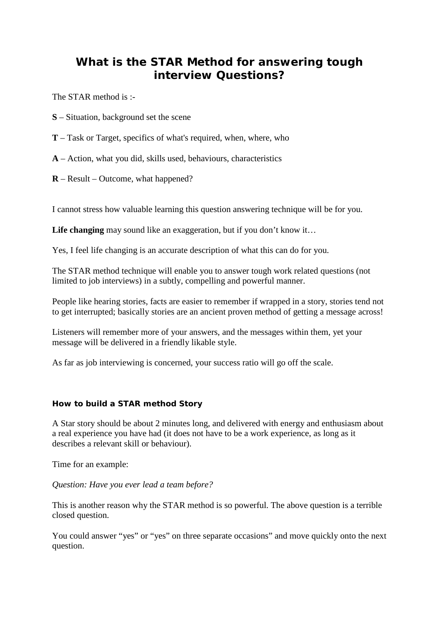## **What is the STAR Method for answering tough interview Questions?**

The STAR method is :-

- **S** Situation, background set the scene
- **T** Task or Target, specifics of what's required, when, where, who
- **A** Action, what you did, skills used, behaviours, characteristics
- **R** Result Outcome, what happened?

I cannot stress how valuable learning this question answering technique will be for you.

Life changing may sound like an exaggeration, but if you don't know it...

Yes, I feel life changing is an accurate description of what this can do for you.

The STAR method technique will enable you to answer tough work related questions (not limited to job interviews) in a subtly, compelling and powerful manner.

People like hearing stories, facts are easier to remember if wrapped in a story, stories tend not to get interrupted; basically stories are an ancient proven method of getting a message across!

Listeners will remember more of your answers, and the messages within them, yet your message will be delivered in a friendly likable style.

As far as job interviewing is concerned, your success ratio will go off the scale.

## **How to build a STAR method Story**

A Star story should be about 2 minutes long, and delivered with energy and enthusiasm about a real experience you have had (it does not have to be a work experience, as long as it describes a relevant skill or behaviour).

Time for an example:

## *Question: Have you ever lead a team before?*

This is another reason why the STAR method is so powerful. The above question is a terrible closed question.

You could answer "yes" or "yes" on three separate occasions" and move quickly onto the next question.